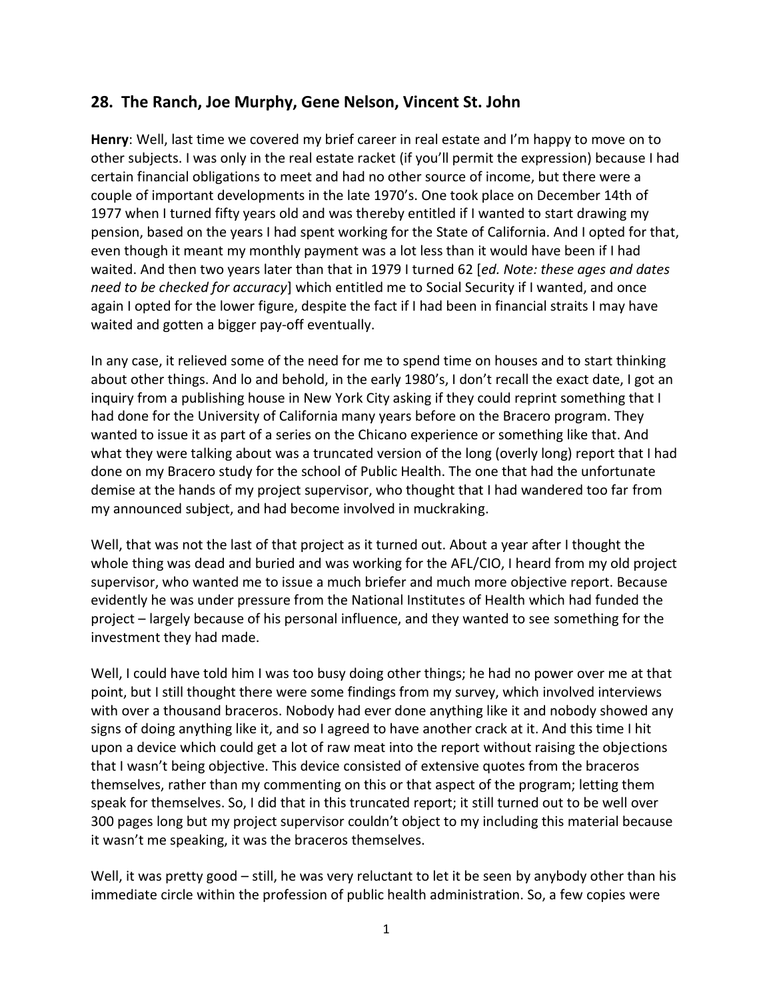## **28. The Ranch, Joe Murphy, Gene Nelson, Vincent St. John**

**Henry**: Well, last time we covered my brief career in real estate and I'm happy to move on to other subjects. I was only in the real estate racket (if you'll permit the expression) because I had certain financial obligations to meet and had no other source of income, but there were a couple of important developments in the late 1970's. One took place on December 14th of 1977 when I turned fifty years old and was thereby entitled if I wanted to start drawing my pension, based on the years I had spent working for the State of California. And I opted for that, even though it meant my monthly payment was a lot less than it would have been if I had waited. And then two years later than that in 1979 I turned 62 [*ed. Note: these ages and dates need to be checked for accuracy*] which entitled me to Social Security if I wanted, and once again I opted for the lower figure, despite the fact if I had been in financial straits I may have waited and gotten a bigger pay-off eventually.

In any case, it relieved some of the need for me to spend time on houses and to start thinking about other things. And lo and behold, in the early 1980's, I don't recall the exact date, I got an inquiry from a publishing house in New York City asking if they could reprint something that I had done for the University of California many years before on the Bracero program. They wanted to issue it as part of a series on the Chicano experience or something like that. And what they were talking about was a truncated version of the long (overly long) report that I had done on my Bracero study for the school of Public Health. The one that had the unfortunate demise at the hands of my project supervisor, who thought that I had wandered too far from my announced subject, and had become involved in muckraking.

Well, that was not the last of that project as it turned out. About a year after I thought the whole thing was dead and buried and was working for the AFL/CIO, I heard from my old project supervisor, who wanted me to issue a much briefer and much more objective report. Because evidently he was under pressure from the National Institutes of Health which had funded the project – largely because of his personal influence, and they wanted to see something for the investment they had made.

Well, I could have told him I was too busy doing other things; he had no power over me at that point, but I still thought there were some findings from my survey, which involved interviews with over a thousand braceros. Nobody had ever done anything like it and nobody showed any signs of doing anything like it, and so I agreed to have another crack at it. And this time I hit upon a device which could get a lot of raw meat into the report without raising the objections that I wasn't being objective. This device consisted of extensive quotes from the braceros themselves, rather than my commenting on this or that aspect of the program; letting them speak for themselves. So, I did that in this truncated report; it still turned out to be well over 300 pages long but my project supervisor couldn't object to my including this material because it wasn't me speaking, it was the braceros themselves.

Well, it was pretty good – still, he was very reluctant to let it be seen by anybody other than his immediate circle within the profession of public health administration. So, a few copies were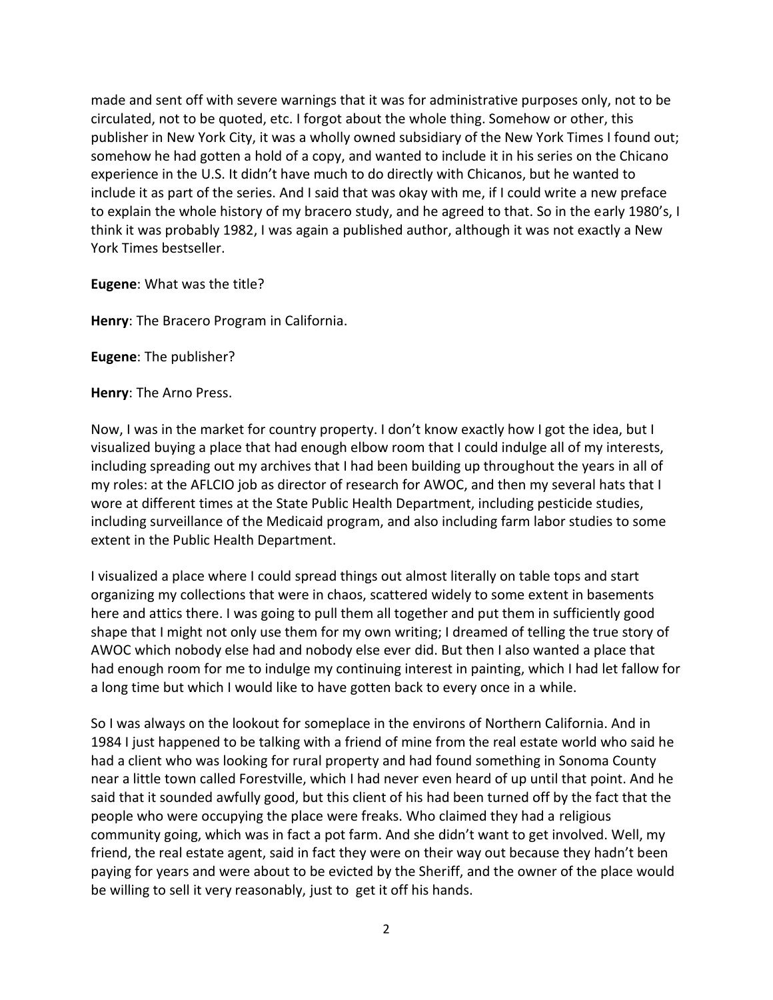made and sent off with severe warnings that it was for administrative purposes only, not to be circulated, not to be quoted, etc. I forgot about the whole thing. Somehow or other, this publisher in New York City, it was a wholly owned subsidiary of the New York Times I found out; somehow he had gotten a hold of a copy, and wanted to include it in his series on the Chicano experience in the U.S. It didn't have much to do directly with Chicanos, but he wanted to include it as part of the series. And I said that was okay with me, if I could write a new preface to explain the whole history of my bracero study, and he agreed to that. So in the early 1980's, I think it was probably 1982, I was again a published author, although it was not exactly a New York Times bestseller.

**Eugene**: What was the title?

**Henry**: The Bracero Program in California.

**Eugene**: The publisher?

**Henry**: The Arno Press.

Now, I was in the market for country property. I don't know exactly how I got the idea, but I visualized buying a place that had enough elbow room that I could indulge all of my interests, including spreading out my archives that I had been building up throughout the years in all of my roles: at the AFLCIO job as director of research for AWOC, and then my several hats that I wore at different times at the State Public Health Department, including pesticide studies, including surveillance of the Medicaid program, and also including farm labor studies to some extent in the Public Health Department.

I visualized a place where I could spread things out almost literally on table tops and start organizing my collections that were in chaos, scattered widely to some extent in basements here and attics there. I was going to pull them all together and put them in sufficiently good shape that I might not only use them for my own writing; I dreamed of telling the true story of AWOC which nobody else had and nobody else ever did. But then I also wanted a place that had enough room for me to indulge my continuing interest in painting, which I had let fallow for a long time but which I would like to have gotten back to every once in a while.

So I was always on the lookout for someplace in the environs of Northern California. And in 1984 I just happened to be talking with a friend of mine from the real estate world who said he had a client who was looking for rural property and had found something in Sonoma County near a little town called Forestville, which I had never even heard of up until that point. And he said that it sounded awfully good, but this client of his had been turned off by the fact that the people who were occupying the place were freaks. Who claimed they had a religious community going, which was in fact a pot farm. And she didn't want to get involved. Well, my friend, the real estate agent, said in fact they were on their way out because they hadn't been paying for years and were about to be evicted by the Sheriff, and the owner of the place would be willing to sell it very reasonably, just to get it off his hands.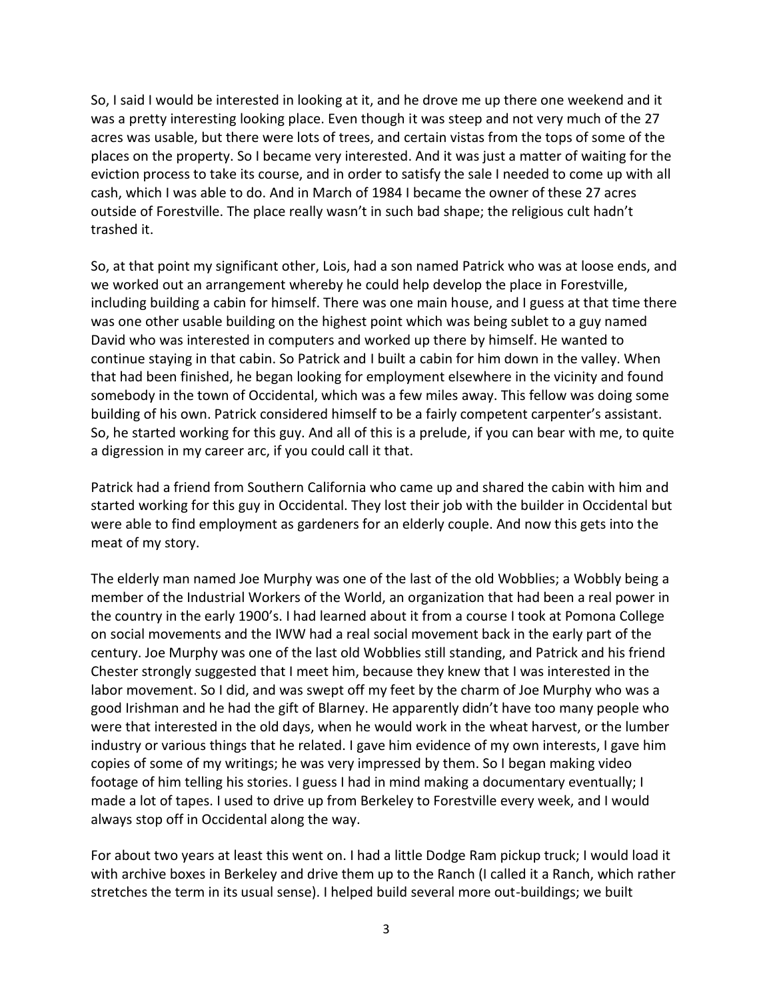So, I said I would be interested in looking at it, and he drove me up there one weekend and it was a pretty interesting looking place. Even though it was steep and not very much of the 27 acres was usable, but there were lots of trees, and certain vistas from the tops of some of the places on the property. So I became very interested. And it was just a matter of waiting for the eviction process to take its course, and in order to satisfy the sale I needed to come up with all cash, which I was able to do. And in March of 1984 I became the owner of these 27 acres outside of Forestville. The place really wasn't in such bad shape; the religious cult hadn't trashed it.

So, at that point my significant other, Lois, had a son named Patrick who was at loose ends, and we worked out an arrangement whereby he could help develop the place in Forestville, including building a cabin for himself. There was one main house, and I guess at that time there was one other usable building on the highest point which was being sublet to a guy named David who was interested in computers and worked up there by himself. He wanted to continue staying in that cabin. So Patrick and I built a cabin for him down in the valley. When that had been finished, he began looking for employment elsewhere in the vicinity and found somebody in the town of Occidental, which was a few miles away. This fellow was doing some building of his own. Patrick considered himself to be a fairly competent carpenter's assistant. So, he started working for this guy. And all of this is a prelude, if you can bear with me, to quite a digression in my career arc, if you could call it that.

Patrick had a friend from Southern California who came up and shared the cabin with him and started working for this guy in Occidental. They lost their job with the builder in Occidental but were able to find employment as gardeners for an elderly couple. And now this gets into the meat of my story.

The elderly man named Joe Murphy was one of the last of the old Wobblies; a Wobbly being a member of the Industrial Workers of the World, an organization that had been a real power in the country in the early 1900's. I had learned about it from a course I took at Pomona College on social movements and the IWW had a real social movement back in the early part of the century. Joe Murphy was one of the last old Wobblies still standing, and Patrick and his friend Chester strongly suggested that I meet him, because they knew that I was interested in the labor movement. So I did, and was swept off my feet by the charm of Joe Murphy who was a good Irishman and he had the gift of Blarney. He apparently didn't have too many people who were that interested in the old days, when he would work in the wheat harvest, or the lumber industry or various things that he related. I gave him evidence of my own interests, I gave him copies of some of my writings; he was very impressed by them. So I began making video footage of him telling his stories. I guess I had in mind making a documentary eventually; I made a lot of tapes. I used to drive up from Berkeley to Forestville every week, and I would always stop off in Occidental along the way.

For about two years at least this went on. I had a little Dodge Ram pickup truck; I would load it with archive boxes in Berkeley and drive them up to the Ranch (I called it a Ranch, which rather stretches the term in its usual sense). I helped build several more out-buildings; we built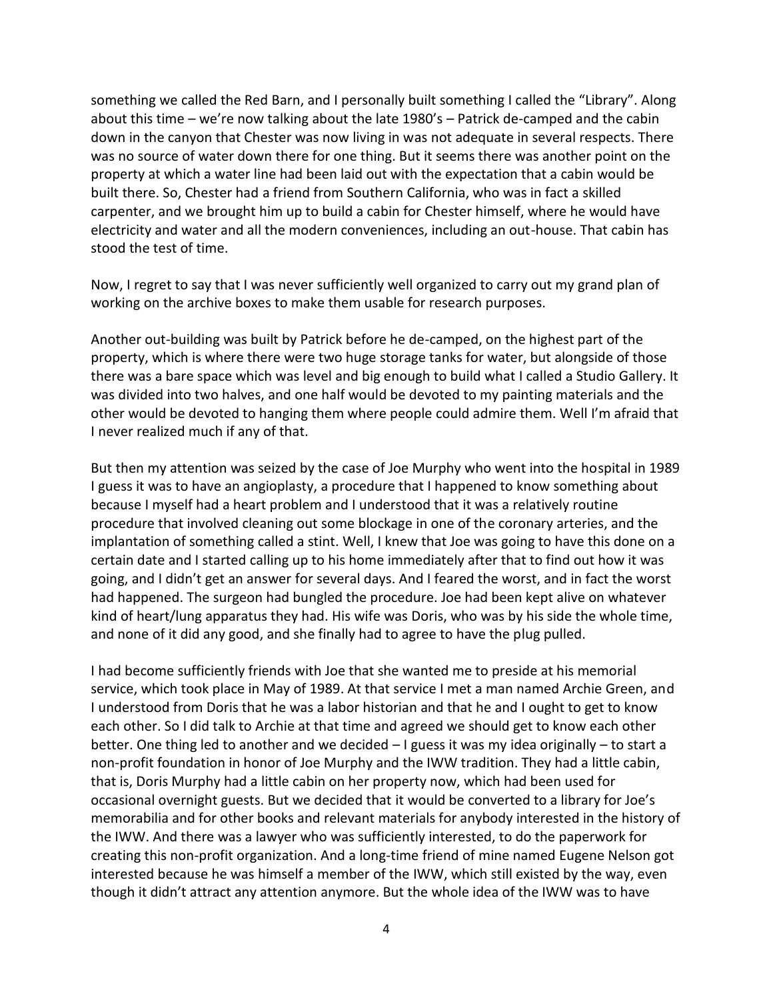something we called the Red Barn, and I personally built something I called the "Library". Along about this time – we're now talking about the late 1980's – Patrick de-camped and the cabin down in the canyon that Chester was now living in was not adequate in several respects. There was no source of water down there for one thing. But it seems there was another point on the property at which a water line had been laid out with the expectation that a cabin would be built there. So, Chester had a friend from Southern California, who was in fact a skilled carpenter, and we brought him up to build a cabin for Chester himself, where he would have electricity and water and all the modern conveniences, including an out-house. That cabin has stood the test of time.

Now, I regret to say that I was never sufficiently well organized to carry out my grand plan of working on the archive boxes to make them usable for research purposes.

Another out-building was built by Patrick before he de-camped, on the highest part of the property, which is where there were two huge storage tanks for water, but alongside of those there was a bare space which was level and big enough to build what I called a Studio Gallery. It was divided into two halves, and one half would be devoted to my painting materials and the other would be devoted to hanging them where people could admire them. Well I'm afraid that I never realized much if any of that.

But then my attention was seized by the case of Joe Murphy who went into the hospital in 1989 I guess it was to have an angioplasty, a procedure that I happened to know something about because I myself had a heart problem and I understood that it was a relatively routine procedure that involved cleaning out some blockage in one of the coronary arteries, and the implantation of something called a stint. Well, I knew that Joe was going to have this done on a certain date and I started calling up to his home immediately after that to find out how it was going, and I didn't get an answer for several days. And I feared the worst, and in fact the worst had happened. The surgeon had bungled the procedure. Joe had been kept alive on whatever kind of heart/lung apparatus they had. His wife was Doris, who was by his side the whole time, and none of it did any good, and she finally had to agree to have the plug pulled.

I had become sufficiently friends with Joe that she wanted me to preside at his memorial service, which took place in May of 1989. At that service I met a man named Archie Green, and I understood from Doris that he was a labor historian and that he and I ought to get to know each other. So I did talk to Archie at that time and agreed we should get to know each other better. One thing led to another and we decided – I guess it was my idea originally – to start a non-profit foundation in honor of Joe Murphy and the IWW tradition. They had a little cabin, that is, Doris Murphy had a little cabin on her property now, which had been used for occasional overnight guests. But we decided that it would be converted to a library for Joe's memorabilia and for other books and relevant materials for anybody interested in the history of the IWW. And there was a lawyer who was sufficiently interested, to do the paperwork for creating this non-profit organization. And a long-time friend of mine named Eugene Nelson got interested because he was himself a member of the IWW, which still existed by the way, even though it didn't attract any attention anymore. But the whole idea of the IWW was to have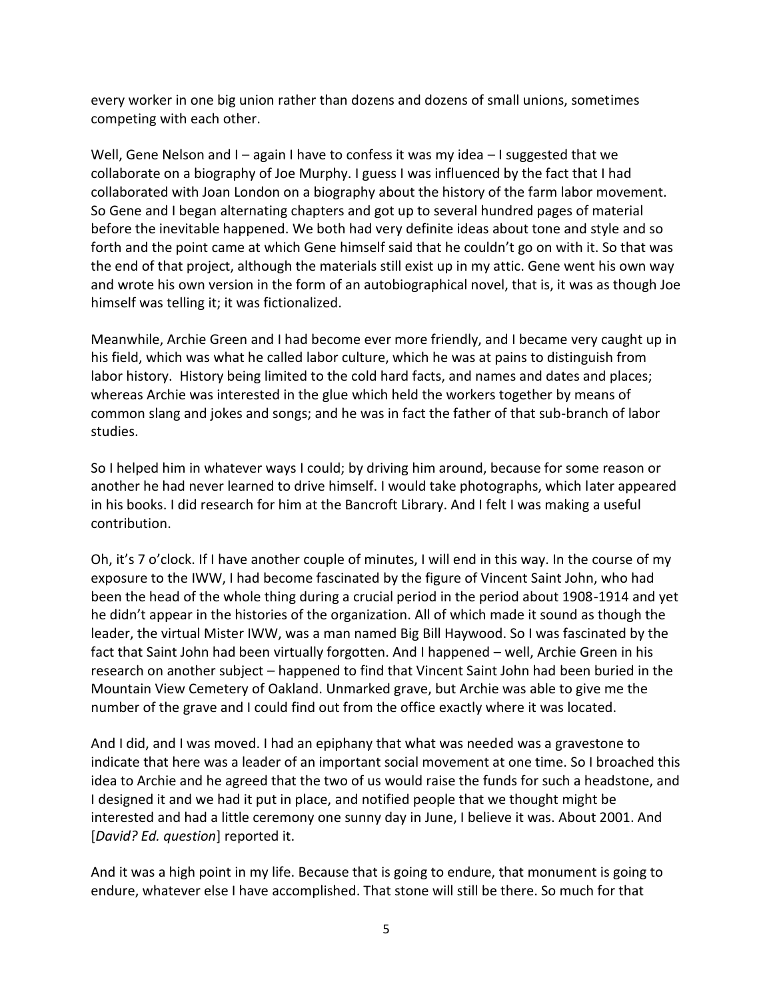every worker in one big union rather than dozens and dozens of small unions, sometimes competing with each other.

Well, Gene Nelson and I – again I have to confess it was my idea – I suggested that we collaborate on a biography of Joe Murphy. I guess I was influenced by the fact that I had collaborated with Joan London on a biography about the history of the farm labor movement. So Gene and I began alternating chapters and got up to several hundred pages of material before the inevitable happened. We both had very definite ideas about tone and style and so forth and the point came at which Gene himself said that he couldn't go on with it. So that was the end of that project, although the materials still exist up in my attic. Gene went his own way and wrote his own version in the form of an autobiographical novel, that is, it was as though Joe himself was telling it; it was fictionalized.

Meanwhile, Archie Green and I had become ever more friendly, and I became very caught up in his field, which was what he called labor culture, which he was at pains to distinguish from labor history. History being limited to the cold hard facts, and names and dates and places; whereas Archie was interested in the glue which held the workers together by means of common slang and jokes and songs; and he was in fact the father of that sub-branch of labor studies.

So I helped him in whatever ways I could; by driving him around, because for some reason or another he had never learned to drive himself. I would take photographs, which later appeared in his books. I did research for him at the Bancroft Library. And I felt I was making a useful contribution.

Oh, it's 7 o'clock. If I have another couple of minutes, I will end in this way. In the course of my exposure to the IWW, I had become fascinated by the figure of Vincent Saint John, who had been the head of the whole thing during a crucial period in the period about 1908-1914 and yet he didn't appear in the histories of the organization. All of which made it sound as though the leader, the virtual Mister IWW, was a man named Big Bill Haywood. So I was fascinated by the fact that Saint John had been virtually forgotten. And I happened – well, Archie Green in his research on another subject – happened to find that Vincent Saint John had been buried in the Mountain View Cemetery of Oakland. Unmarked grave, but Archie was able to give me the number of the grave and I could find out from the office exactly where it was located.

And I did, and I was moved. I had an epiphany that what was needed was a gravestone to indicate that here was a leader of an important social movement at one time. So I broached this idea to Archie and he agreed that the two of us would raise the funds for such a headstone, and I designed it and we had it put in place, and notified people that we thought might be interested and had a little ceremony one sunny day in June, I believe it was. About 2001. And [*David? Ed. question*] reported it.

And it was a high point in my life. Because that is going to endure, that monument is going to endure, whatever else I have accomplished. That stone will still be there. So much for that